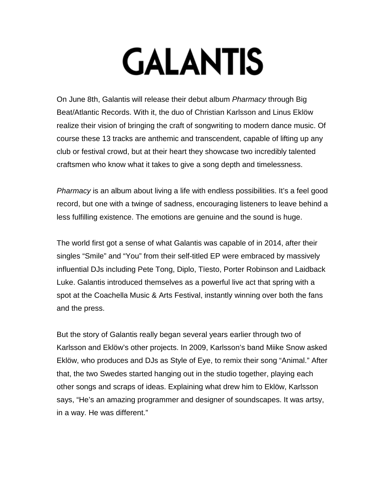## **GALANTIS**

On June 8th, Galantis will release their debut album *Pharmacy* through Big Beat/Atlantic Records. With it, the duo of Christian Karlsson and Linus Eklöw realize their vision of bringing the craft of songwriting to modern dance music. Of course these 13 tracks are anthemic and transcendent, capable of lifting up any club or festival crowd, but at their heart they showcase two incredibly talented craftsmen who know what it takes to give a song depth and timelessness.

*Pharmacy* is an album about living a life with endless possibilities. It's a feel good record, but one with a twinge of sadness, encouraging listeners to leave behind a less fulfilling existence. The emotions are genuine and the sound is huge.

The world first got a sense of what Galantis was capable of in 2014, after their singles "Smile" and "You" from their self-titled EP were embraced by massively influential DJs including Pete Tong, Diplo, Tïesto, Porter Robinson and Laidback Luke. Galantis introduced themselves as a powerful live act that spring with a spot at the Coachella Music & Arts Festival, instantly winning over both the fans and the press.

But the story of Galantis really began several years earlier through two of Karlsson and Eklöw's other projects. In 2009, Karlsson's band Miike Snow asked Eklöw, who produces and DJs as Style of Eye, to remix their song "Animal." After that, the two Swedes started hanging out in the studio together, playing each other songs and scraps of ideas. Explaining what drew him to Eklöw, Karlsson says, "He's an amazing programmer and designer of soundscapes. It was artsy, in a way. He was different."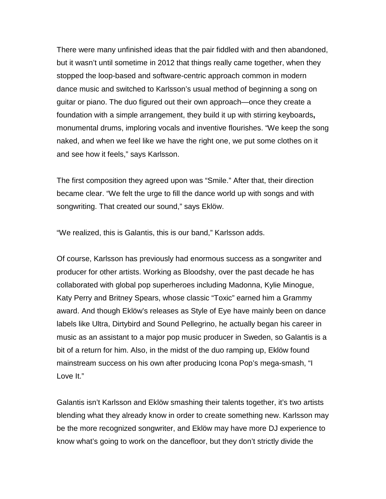There were many unfinished ideas that the pair fiddled with and then abandoned, but it wasn't until sometime in 2012 that things really came together, when they stopped the loop-based and software-centric approach common in modern dance music and switched to Karlsson's usual method of beginning a song on guitar or piano. The duo figured out their own approach—once they create a foundation with a simple arrangement, they build it up with stirring keyboards**,**  monumental drums, imploring vocals and inventive flourishes. "We keep the song naked, and when we feel like we have the right one, we put some clothes on it and see how it feels," says Karlsson.

The first composition they agreed upon was "Smile." After that, their direction became clear. "We felt the urge to fill the dance world up with songs and with songwriting. That created our sound," says Eklöw.

"We realized, this is Galantis, this is our band," Karlsson adds.

Of course, Karlsson has previously had enormous success as a songwriter and producer for other artists. Working as Bloodshy, over the past decade he has collaborated with global pop superheroes including Madonna, Kylie Minogue, Katy Perry and Britney Spears, whose classic "Toxic" earned him a Grammy award. And though Eklöw's releases as Style of Eye have mainly been on dance labels like Ultra, Dirtybird and Sound Pellegrino, he actually began his career in music as an assistant to a major pop music producer in Sweden, so Galantis is a bit of a return for him. Also, in the midst of the duo ramping up, Eklöw found mainstream success on his own after producing Icona Pop's mega-smash, "I Love It."

Galantis isn't Karlsson and Eklöw smashing their talents together, it's two artists blending what they already know in order to create something new. Karlsson may be the more recognized songwriter, and Eklöw may have more DJ experience to know what's going to work on the dancefloor, but they don't strictly divide the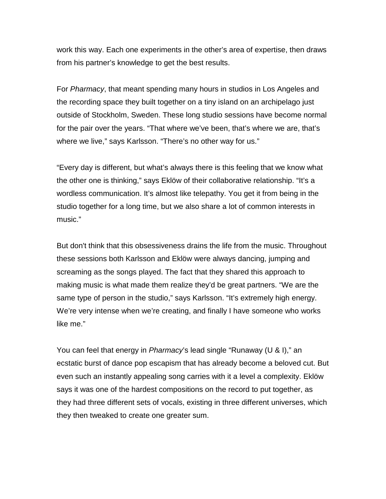work this way. Each one experiments in the other's area of expertise, then draws from his partner's knowledge to get the best results.

For *Pharmacy*, that meant spending many hours in studios in Los Angeles and the recording space they built together on a tiny island on an archipelago just outside of Stockholm, Sweden. These long studio sessions have become normal for the pair over the years. "That where we've been, that's where we are, that's where we live," says Karlsson. "There's no other way for us."

"Every day is different, but what's always there is this feeling that we know what the other one is thinking," says Eklöw of their collaborative relationship. "It's a wordless communication. It's almost like telepathy. You get it from being in the studio together for a long time, but we also share a lot of common interests in music."

But don't think that this obsessiveness drains the life from the music. Throughout these sessions both Karlsson and Eklöw were always dancing, jumping and screaming as the songs played. The fact that they shared this approach to making music is what made them realize they'd be great partners. "We are the same type of person in the studio," says Karlsson. "It's extremely high energy. We're very intense when we're creating, and finally I have someone who works like me."

You can feel that energy in *Pharmacy*'s lead single "Runaway (U & I)," an ecstatic burst of dance pop escapism that has already become a beloved cut. But even such an instantly appealing song carries with it a level a complexity. Eklöw says it was one of the hardest compositions on the record to put together, as they had three different sets of vocals, existing in three different universes, which they then tweaked to create one greater sum.